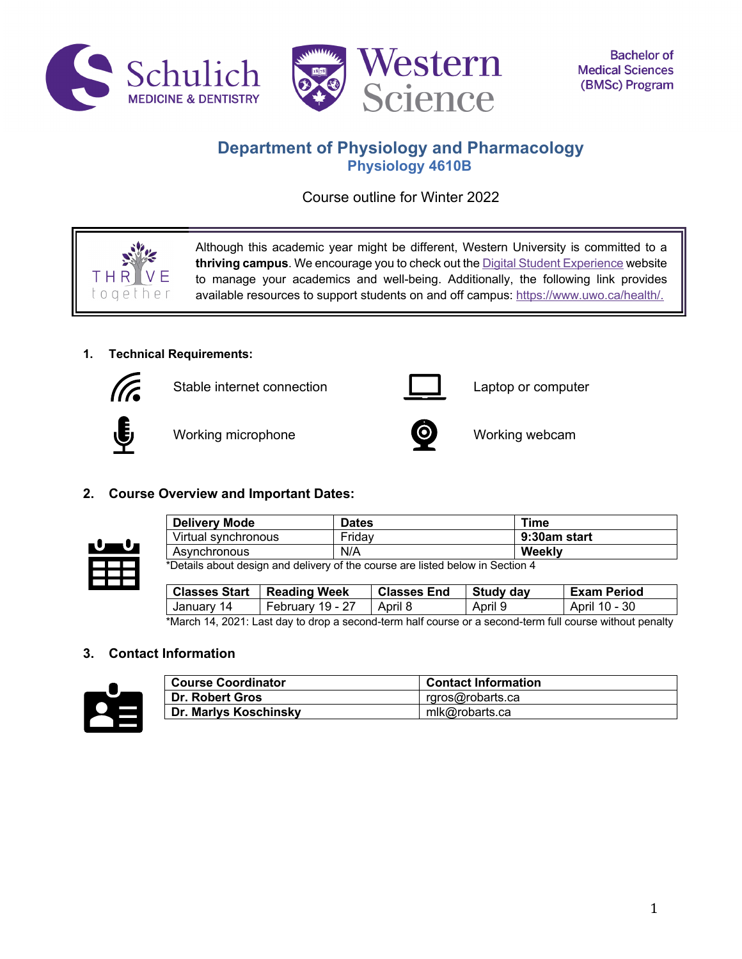



# **Department of Physiology and Pharmacology Physiology 4610B**

Course outline for Winter 2022

Although this academic year might be different, Western University is committed to a **thriving campus**. We encourage you to check out the Digital Student Experience website to manage your academics and well-being. Additionally, the following link provides available resources to support students on and off campus: https://www.uwo.ca/health/.

# **1. Technical Requirements:**



 $O$  $O$  $P$ 

Stable internet connection **Laptop** computer



Working microphone **CO** Working webcam



# **2. Course Overview and Important Dates:**



| <b>Delivery Mode</b>                                                            | <b>Dates</b> | Time         |
|---------------------------------------------------------------------------------|--------------|--------------|
| Virtual synchronous                                                             | Fridav       | 9:30am start |
| Asynchronous                                                                    | N/A          | Weekly       |
| *Detaile about design and delivery of the course are listed below in Peeting 4. |              |              |

\*Details about design and delivery of the course are listed below in Section 4

| Classes Start   Reading Week |                  | <b>Classes End</b> | Study day | <b>Exam Period</b> |
|------------------------------|------------------|--------------------|-----------|--------------------|
| January 14                   | February 19 - 27 | April 8            | April 9   | April 10 - 30      |

\*March 14, 2021: Last day to drop a second-term half course or a second-term full course without penalty

# **3. Contact Information**



| <b>Course Coordinator</b> | <b>Contact Information</b> |
|---------------------------|----------------------------|
| <b>Dr. Robert Gros</b>    | rgros@robarts.ca           |
| Dr. Marlys Koschinsky     | mlk@robarts.ca             |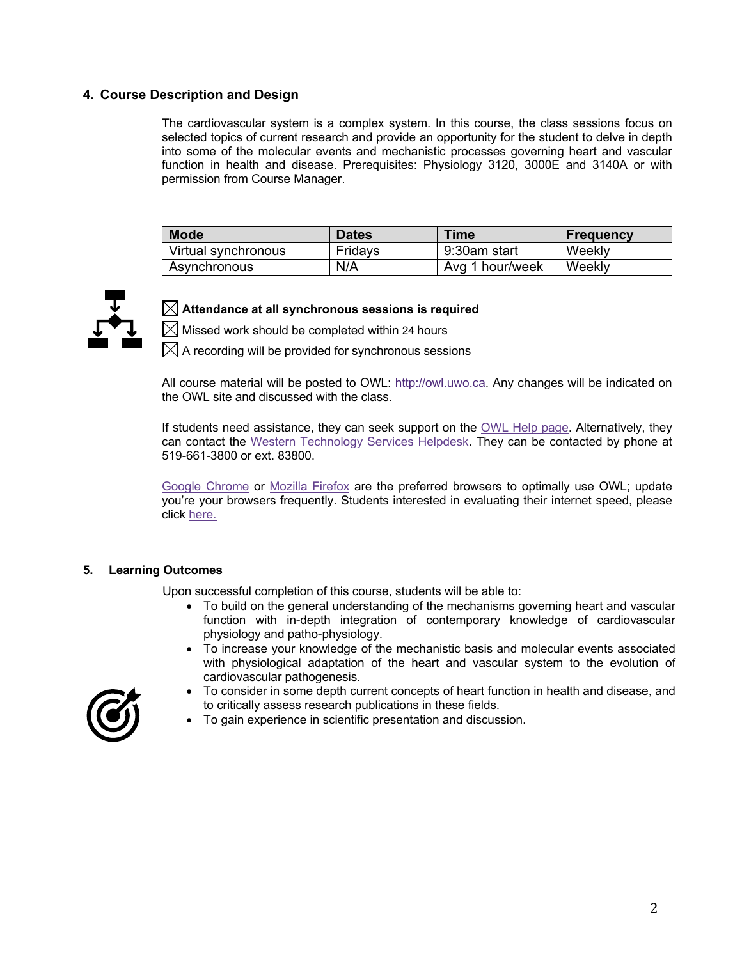## **4. Course Description and Design**

The cardiovascular system is a complex system. In this course, the class sessions focus on selected topics of current research and provide an opportunity for the student to delve in depth into some of the molecular events and mechanistic processes governing heart and vascular function in health and disease. Prerequisites: Physiology 3120, 3000E and 3140A or with permission from Course Manager.

| <b>Mode</b>         | <b>Dates</b> | Time            | <b>Frequency</b> |
|---------------------|--------------|-----------------|------------------|
| Virtual synchronous | Fridays      | 9:30am start    | Weekly           |
| Asynchronous        | N/A          | Avg 1 hour/week | Weekly           |



# $\boxtimes$  Attendance at all synchronous sessions is required

 $\boxtimes$  Missed work should be completed within 24 hours

 $\boxtimes$  A recording will be provided for synchronous sessions

All course material will be posted to OWL: http://owl.uwo.ca. Any changes will be indicated on the OWL site and discussed with the class.

If students need assistance, they can seek support on the OWL Help page. Alternatively, they can contact the Western Technology Services Helpdesk. They can be contacted by phone at 519-661-3800 or ext. 83800.

Google Chrome or Mozilla Firefox are the preferred browsers to optimally use OWL; update you're your browsers frequently. Students interested in evaluating their internet speed, please click here.

#### **5. Learning Outcomes**

Upon successful completion of this course, students will be able to:

- To build on the general understanding of the mechanisms governing heart and vascular function with in-depth integration of contemporary knowledge of cardiovascular physiology and patho-physiology.
- To increase your knowledge of the mechanistic basis and molecular events associated with physiological adaptation of the heart and vascular system to the evolution of cardiovascular pathogenesis.



- To consider in some depth current concepts of heart function in health and disease, and to critically assess research publications in these fields.
- To gain experience in scientific presentation and discussion.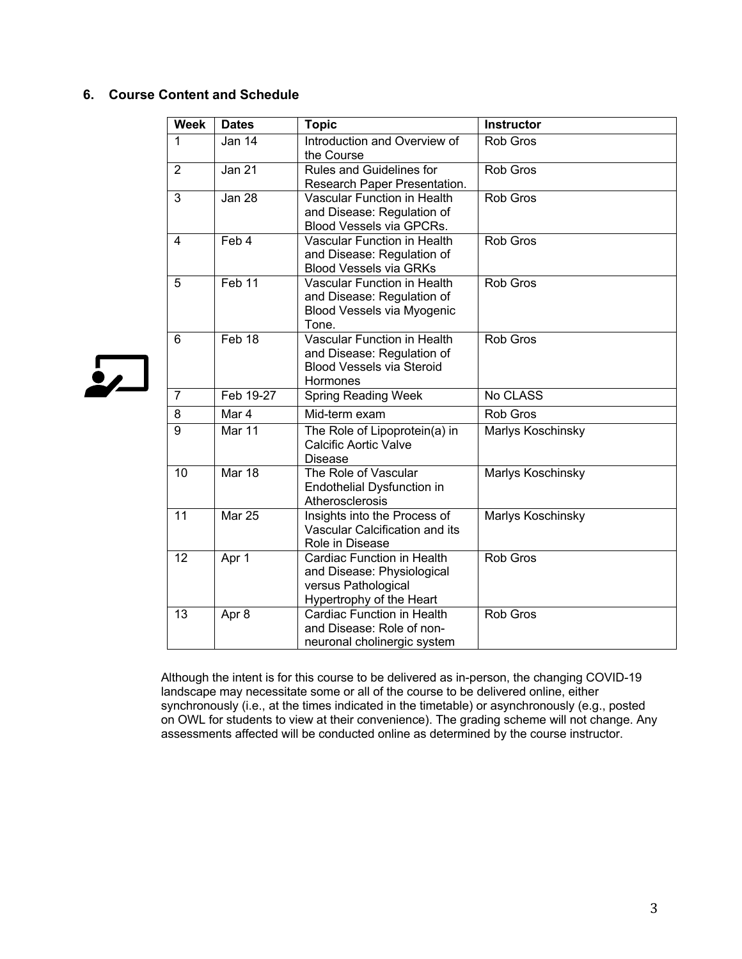# **6. Course Content and Schedule**

 $\sum$ 

| <b>Week</b>     | <b>Dates</b>      | <b>Topic</b>                                             | <b>Instructor</b> |
|-----------------|-------------------|----------------------------------------------------------|-------------------|
| 1               | Jan 14            | Introduction and Overview of                             | Rob Gros          |
| $\overline{2}$  | Jan 21            | the Course<br>Rules and Guidelines for                   | Rob Gros          |
|                 |                   | Research Paper Presentation.                             |                   |
| 3               | <b>Jan 28</b>     | <b>Vascular Function in Health</b>                       | Rob Gros          |
|                 |                   | and Disease: Regulation of                               |                   |
|                 |                   | Blood Vessels via GPCRs.                                 |                   |
| 4               | Feb 4             | Vascular Function in Health                              | Rob Gros          |
|                 |                   | and Disease: Regulation of                               |                   |
|                 |                   | <b>Blood Vessels via GRKs</b>                            |                   |
| 5               | Feb <sub>11</sub> | <b>Vascular Function in Health</b>                       | <b>Rob Gros</b>   |
|                 |                   | and Disease: Regulation of<br>Blood Vessels via Myogenic |                   |
|                 |                   | Tone.                                                    |                   |
| 6               | Feb 18            | <b>Vascular Function in Health</b>                       | Rob Gros          |
|                 |                   | and Disease: Regulation of                               |                   |
|                 |                   | <b>Blood Vessels via Steroid</b>                         |                   |
|                 |                   | Hormones                                                 |                   |
| $\overline{7}$  | Feb 19-27         | <b>Spring Reading Week</b>                               | No CLASS          |
| 8               | Mar 4             | Mid-term exam                                            | <b>Rob Gros</b>   |
| 9               | <b>Mar 11</b>     | The Role of Lipoprotein(a) in                            | Marlys Koschinsky |
|                 |                   | <b>Calcific Aortic Valve</b>                             |                   |
|                 | Mar 18            | <b>Disease</b>                                           |                   |
| 10              |                   | The Role of Vascular                                     | Marlys Koschinsky |
|                 |                   | Endothelial Dysfunction in<br>Atherosclerosis            |                   |
| 11              | <b>Mar 25</b>     | Insights into the Process of                             | Marlys Koschinsky |
|                 |                   | Vascular Calcification and its                           |                   |
|                 |                   | Role in Disease                                          |                   |
| $\overline{12}$ | Apr 1             | <b>Cardiac Function in Health</b>                        | <b>Rob Gros</b>   |
|                 |                   | and Disease: Physiological                               |                   |
|                 |                   | versus Pathological                                      |                   |
|                 |                   | Hypertrophy of the Heart                                 |                   |
| 13              | Apr 8             | <b>Cardiac Function in Health</b>                        | Rob Gros          |
|                 |                   | and Disease: Role of non-                                |                   |
|                 |                   | neuronal cholinergic system                              |                   |

Although the intent is for this course to be delivered as in-person, the changing COVID-19 landscape may necessitate some or all of the course to be delivered online, either synchronously (i.e., at the times indicated in the timetable) or asynchronously (e.g., posted on OWL for students to view at their convenience). The grading scheme will not change. Any assessments affected will be conducted online as determined by the course instructor.

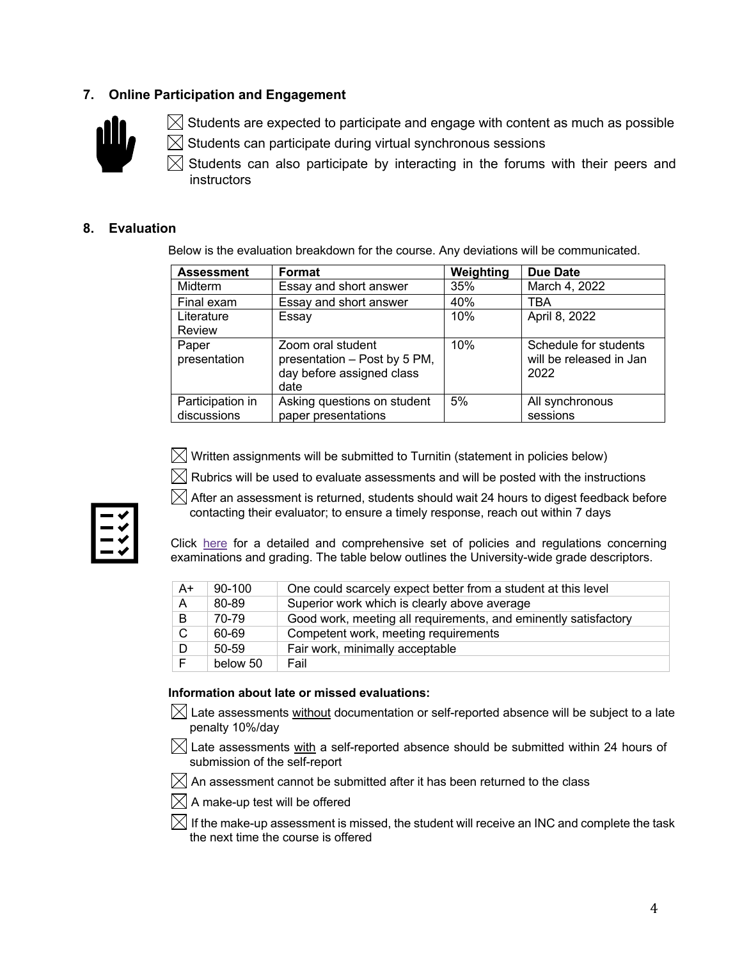# **7. Online Participation and Engagement**



 $\boxtimes$  Students are expected to participate and engage with content as much as possible

Students can participate during virtual synchronous sessions M

Students can also participate by interacting in the forums with their peers and instructors

# **8. Evaluation**

Below is the evaluation breakdown for the course. Any deviations will be communicated.

| <b>Assessment</b> | Format                       | Weighting | <b>Due Date</b>         |
|-------------------|------------------------------|-----------|-------------------------|
| <b>Midterm</b>    | Essay and short answer       | 35%       | March 4, 2022           |
| Final exam        | Essay and short answer       | 40%       | TBA                     |
| Literature        | Essay                        | 10%       | April 8, 2022           |
| <b>Review</b>     |                              |           |                         |
| Paper             | Zoom oral student            | 10%       | Schedule for students   |
| presentation      | presentation - Post by 5 PM, |           | will be released in Jan |
|                   | day before assigned class    |           | 2022                    |
|                   | date                         |           |                         |
| Participation in  | Asking questions on student  | 5%        | All synchronous         |
| discussions       | paper presentations          |           | sessions                |



 $\boxtimes$  Written assignments will be submitted to Turnitin (statement in policies below)

 $\boxtimes$  Rubrics will be used to evaluate assessments and will be posted with the instructions

 $\boxtimes$  After an assessment is returned, students should wait 24 hours to digest feedback before contacting their evaluator; to ensure a timely response, reach out within 7 days

Click here for a detailed and comprehensive set of policies and regulations concerning examinations and grading. The table below outlines the University-wide grade descriptors.

| $A+$ | $90 - 100$ | One could scarcely expect better from a student at this level   |
|------|------------|-----------------------------------------------------------------|
| A    | 80-89      | Superior work which is clearly above average                    |
| B    | 70-79      | Good work, meeting all requirements, and eminently satisfactory |
| C.   | 60-69      | Competent work, meeting requirements                            |
| D    | $50 - 59$  | Fair work, minimally acceptable                                 |
| F    | below 50   | Fail                                                            |

### **Information about late or missed evaluations:**

- $\boxtimes$  Late assessments without documentation or self-reported absence will be subject to a late penalty 10%/day
- $\boxtimes$  Late assessments with a self-reported absence should be submitted within 24 hours of submission of the self-report

 $\boxtimes$  An assessment cannot be submitted after it has been returned to the class

- $[$  $\boxtimes$  A make-up test will be offered
- $\boxtimes$  If the make-up assessment is missed, the student will receive an INC and complete the task the next time the course is offered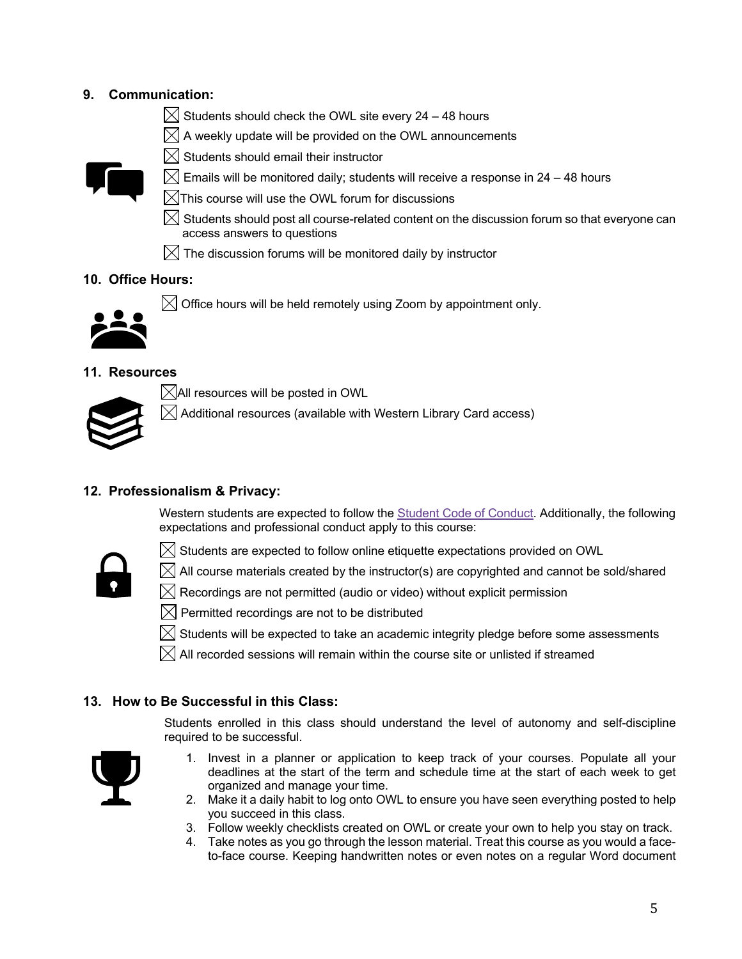# **9. Communication:**

- $\boxtimes$  Students should check the OWL site every 24 48 hours
- $\boxtimes$  A weekly update will be provided on the OWL announcements
- $\boxtimes$  Students should email their instructor



- $\boxtimes$  Emails will be monitored daily; students will receive a response in 24 48 hours
- $\boxtimes$ This course will use the OWL forum for discussions
- $\boxtimes$  Students should post all course-related content on the discussion forum so that everyone can access answers to questions
- $\boxtimes$  The discussion forums will be monitored daily by instructor

# **10. Office Hours:**



 $\boxtimes$  Office hours will be held remotely using Zoom by appointment only.

### **11. Resources**



 $\boxtimes$ All resources will be posted in OWL

 $\boxtimes$  Additional resources (available with Western Library Card access)

# **12. Professionalism & Privacy:**

Western students are expected to follow the **Student Code of Conduct**. Additionally, the following expectations and professional conduct apply to this course:

 $\boxtimes$  All course materials created by the instructor(s) are copyrighted and cannot be sold/shared



 $\boxtimes$  Students are expected to follow online etiquette expectations provided on OWL

- $\boxtimes$  Recordings are not permitted (audio or video) without explicit permission  $\boxtimes$  Permitted recordings are not to be distributed
- $\boxtimes$  Students will be expected to take an academic integrity pledge before some assessments
- $\boxtimes$  All recorded sessions will remain within the course site or unlisted if streamed

### **13. How to Be Successful in this Class:**

Students enrolled in this class should understand the level of autonomy and self-discipline required to be successful.



- 1. Invest in a planner or application to keep track of your courses. Populate all your deadlines at the start of the term and schedule time at the start of each week to get organized and manage your time.
- 2. Make it a daily habit to log onto OWL to ensure you have seen everything posted to help you succeed in this class.
- 3. Follow weekly checklists created on OWL or create your own to help you stay on track.
- 4. Take notes as you go through the lesson material. Treat this course as you would a faceto-face course. Keeping handwritten notes or even notes on a regular Word document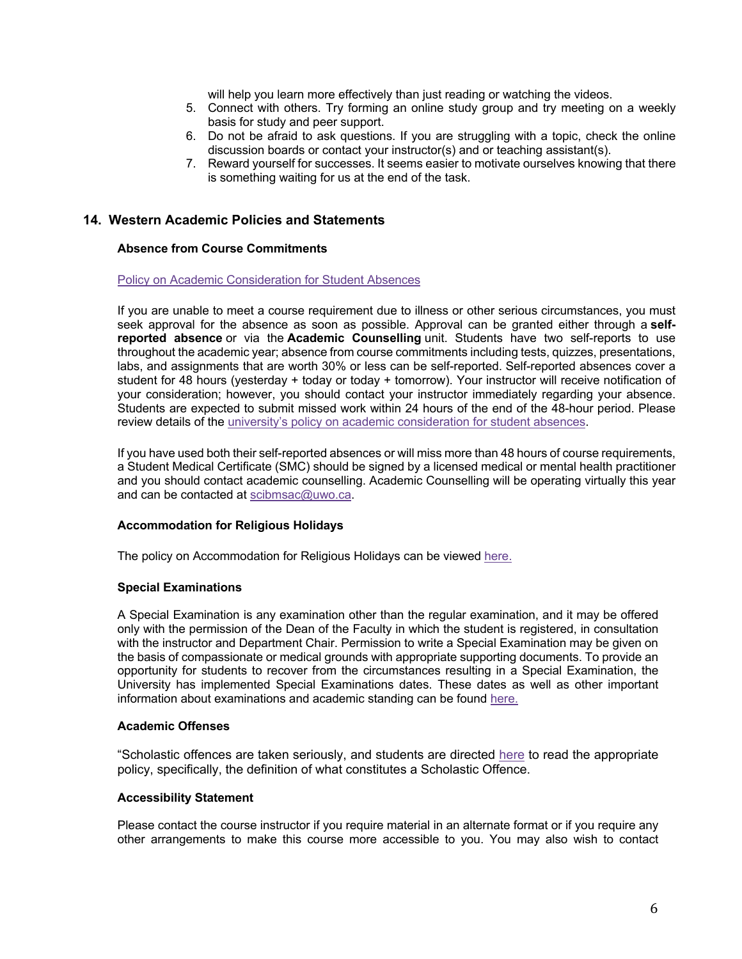will help you learn more effectively than just reading or watching the videos.

- 5. Connect with others. Try forming an online study group and try meeting on a weekly basis for study and peer support.
- 6. Do not be afraid to ask questions. If you are struggling with a topic, check the online discussion boards or contact your instructor(s) and or teaching assistant(s).
- 7. Reward yourself for successes. It seems easier to motivate ourselves knowing that there is something waiting for us at the end of the task.

# **14. Western Academic Policies and Statements**

### **Absence from Course Commitments**

#### Policy on Academic Consideration for Student Absences

If you are unable to meet a course requirement due to illness or other serious circumstances, you must seek approval for the absence as soon as possible. Approval can be granted either through a **selfreported absence** or via the **Academic Counselling** unit. Students have two self-reports to use throughout the academic year; absence from course commitments including tests, quizzes, presentations, labs, and assignments that are worth 30% or less can be self-reported. Self-reported absences cover a student for 48 hours (yesterday + today or today + tomorrow). Your instructor will receive notification of your consideration; however, you should contact your instructor immediately regarding your absence. Students are expected to submit missed work within 24 hours of the end of the 48-hour period. Please review details of the university's policy on academic consideration for student absences.

If you have used both their self-reported absences or will miss more than 48 hours of course requirements, a Student Medical Certificate (SMC) should be signed by a licensed medical or mental health practitioner and you should contact academic counselling. Academic Counselling will be operating virtually this year and can be contacted at scibmsac@uwo.ca.

### **Accommodation for Religious Holidays**

The policy on Accommodation for Religious Holidays can be viewed here.

#### **Special Examinations**

A Special Examination is any examination other than the regular examination, and it may be offered only with the permission of the Dean of the Faculty in which the student is registered, in consultation with the instructor and Department Chair. Permission to write a Special Examination may be given on the basis of compassionate or medical grounds with appropriate supporting documents. To provide an opportunity for students to recover from the circumstances resulting in a Special Examination, the University has implemented Special Examinations dates. These dates as well as other important information about examinations and academic standing can be found here.

#### **Academic Offenses**

"Scholastic offences are taken seriously, and students are directed here to read the appropriate policy, specifically, the definition of what constitutes a Scholastic Offence.

#### **Accessibility Statement**

Please contact the course instructor if you require material in an alternate format or if you require any other arrangements to make this course more accessible to you. You may also wish to contact